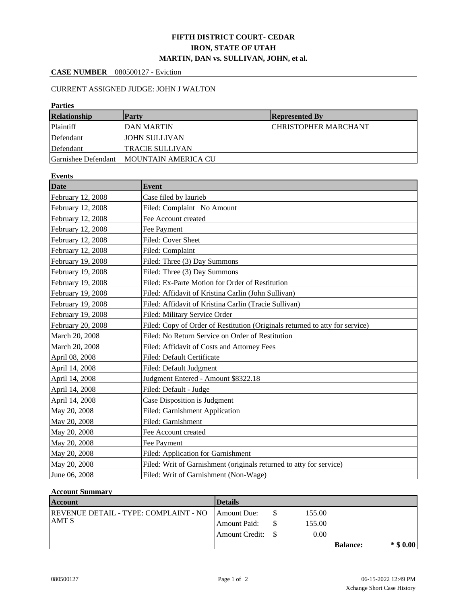## **FIFTH DISTRICT COURT- CEDAR IRON, STATE OF UTAH MARTIN, DAN vs. SULLIVAN, JOHN, et al.**

## **CASE NUMBER** 080500127 - Eviction

## CURRENT ASSIGNED JUDGE: JOHN J WALTON

| <b>Parties</b>      |                             |                             |  |  |  |  |
|---------------------|-----------------------------|-----------------------------|--|--|--|--|
| <b>Relationship</b> | <b>Party</b>                | <b>Represented By</b>       |  |  |  |  |
| Plaintiff           | IDAN MARTIN                 | <b>CHRISTOPHER MARCHANT</b> |  |  |  |  |
| Defendant           | JOHN SULLIVAN               |                             |  |  |  |  |
| Defendant           | <b>TRACIE SULLIVAN</b>      |                             |  |  |  |  |
| Garnishee Defendant | <b>IMOUNTAIN AMERICA CU</b> |                             |  |  |  |  |

| <b>Events</b>     |                                                                              |  |  |  |
|-------------------|------------------------------------------------------------------------------|--|--|--|
| <b>Date</b>       | <b>Event</b>                                                                 |  |  |  |
| February 12, 2008 | Case filed by laurieb                                                        |  |  |  |
| February 12, 2008 | Filed: Complaint No Amount                                                   |  |  |  |
| February 12, 2008 | Fee Account created                                                          |  |  |  |
| February 12, 2008 | Fee Payment                                                                  |  |  |  |
| February 12, 2008 | Filed: Cover Sheet                                                           |  |  |  |
| February 12, 2008 | Filed: Complaint                                                             |  |  |  |
| February 19, 2008 | Filed: Three (3) Day Summons                                                 |  |  |  |
| February 19, 2008 | Filed: Three (3) Day Summons                                                 |  |  |  |
| February 19, 2008 | Filed: Ex-Parte Motion for Order of Restitution                              |  |  |  |
| February 19, 2008 | Filed: Affidavit of Kristina Carlin (John Sullivan)                          |  |  |  |
| February 19, 2008 | Filed: Affidavit of Kristina Carlin (Tracie Sullivan)                        |  |  |  |
| February 19, 2008 | Filed: Military Service Order                                                |  |  |  |
| February 20, 2008 | Filed: Copy of Order of Restitution (Originals returned to atty for service) |  |  |  |
| March 20, 2008    | Filed: No Return Service on Order of Restitution                             |  |  |  |
| March 20, 2008    | Filed: Affidavit of Costs and Attorney Fees                                  |  |  |  |
| April 08, 2008    | Filed: Default Certificate                                                   |  |  |  |
| April 14, 2008    | Filed: Default Judgment                                                      |  |  |  |
| April 14, 2008    | Judgment Entered - Amount \$8322.18                                          |  |  |  |
| April 14, 2008    | Filed: Default - Judge                                                       |  |  |  |
| April 14, 2008    | Case Disposition is Judgment                                                 |  |  |  |
| May 20, 2008      | Filed: Garnishment Application                                               |  |  |  |
| May 20, 2008      | Filed: Garnishment                                                           |  |  |  |
| May 20, 2008      | Fee Account created                                                          |  |  |  |
| May 20, 2008      | Fee Payment                                                                  |  |  |  |
| May 20, 2008      | Filed: Application for Garnishment                                           |  |  |  |
| May 20, 2008      | Filed: Writ of Garnishment (originals returned to atty for service)          |  |  |  |
| June 06, 2008     | Filed: Writ of Garnishment (Non-Wage)                                        |  |  |  |

## **Account Summary**

| <b>Account</b>                               | <b>Details</b> |        |                 |             |
|----------------------------------------------|----------------|--------|-----------------|-------------|
| <b>REVENUE DETAIL - TYPE: COMPLAINT - NO</b> | Amount Due:    | 155.00 |                 |             |
| <b>JAMT S</b>                                | Amount Paid:   | 155.00 |                 |             |
|                                              |                | 0.00   |                 |             |
|                                              |                |        | <b>Balance:</b> | $*$ \$ 0.00 |